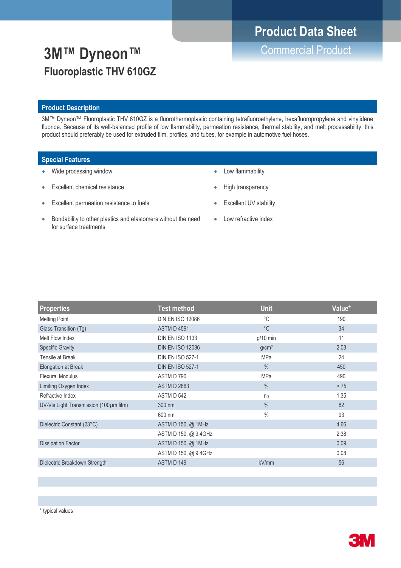# **Product Data Sheet**

**3M™ Dyneon™** Commercial Product **Fluoroplastic THV 610GZ**

#### **Product Description**

3M™ Dyneon™ Fluoroplastic THV 610GZ is a fluorothermoplastic containing tetrafluoroethylene, hexafluoropropylene and vinylidene fluoride. Because of its well-balanced profile of low flammability, permeation resistance, thermal stability, and melt processability, this product should preferably be used for extruded film, profiles, and tubes, for example in automotive fuel hoses.

### **Special Features**

- Wide processing window
- **Excellent chemical resistance**
- Excellent permeation resistance to fuels
- Low flammability
- High transparency
- **Excellent UV stability**
- Bondability to other plastics and elastomers without the need for surface treatments
- Low refractive index

| <b>Properties</b>                      | <b>Test method</b>      | <b>Unit</b>       | Value* |
|----------------------------------------|-------------------------|-------------------|--------|
| <b>Melting Point</b>                   | <b>DIN EN ISO 12086</b> | $^{\circ}C$       | 190    |
| Glass Transition (Tg)                  | <b>ASTM D 4591</b>      | $^{\circ}$ C      | 34     |
| Melt Flow Index                        | <b>DIN EN ISO 1133</b>  | $g/10$ min        | 11     |
| <b>Specific Gravity</b>                | <b>DIN EN ISO 12086</b> | g/cm <sup>3</sup> | 2.03   |
| Tensile at Break                       | <b>DIN EN ISO 527-1</b> | <b>MPa</b>        | 24     |
| Elongation at Break                    | <b>DIN EN ISO 527-1</b> | $\frac{0}{0}$     | 450    |
| <b>Flexural Modulus</b>                | ASTM D 790              | <b>MPa</b>        | 490    |
| Limiting Oxygen Index                  | <b>ASTM D 2863</b>      | $\%$              | > 75   |
| Refractive Index                       | ASTM D 542              | n <sub>D</sub>    | 1.35   |
| UV-Vis Light Transmission (100µm film) | 300 nm                  | $\frac{0}{0}$     | 82     |
|                                        | 600 nm                  | $\frac{0}{0}$     | 93     |
| Dielectric Constant (23°C)             | ASTM D 150, @ 1MHz      |                   | 4.66   |
|                                        | ASTM D 150, @ 9.4GHz    |                   | 2.38   |
| <b>Dissipation Factor</b>              | ASTM D 150, @ 1MHz      |                   | 0.09   |
|                                        | ASTM D 150, @ 9.4GHz    |                   | 0.08   |
| Dielectric Breakdown Strength          | ASTM D 149              | kV/mm             | 56     |
|                                        |                         |                   |        |



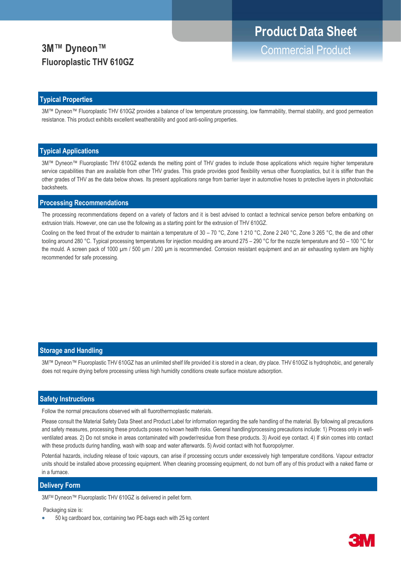# **3M™ Dyneon™** Commercial Product **Fluoroplastic THV 610GZ**

# **Typical Properties**

3M™ Dyneon™ Fluoroplastic THV 610GZ provides a balance of low temperature processing, low flammability, thermal stability, and good permeation resistance. This product exhibits excellent weatherability and good anti-soiling properties.

### **Typical Applications**

3M™ Dyneon™ Fluoroplastic THV 610GZ extends the melting point of THV grades to include those applications which require higher temperature service capabilities than are available from other THV grades. This grade provides good flexibility versus other fluoroplastics, but it is stiffer than the other grades of THV as the data below shows. Its present applications range from barrier layer in automotive hoses to protective layers in photovoltaic backsheets.

#### **Processing Recommendations**

The processing recommendations depend on a variety of factors and it is best advised to contact a technical service person before embarking on extrusion trials. However, one can use the following as a starting point for the extrusion of THV 610GZ.

Cooling on the feed throat of the extruder to maintain a temperature of 30 – 70 °C, Zone 1 210 °C, Zone 2 240 °C, Zone 3 265 °C, the die and other tooling around 280 °C. Typical processing temperatures for injection moulding are around 275 – 290 °C for the nozzle temperature and 50 – 100 °C for the mould. A screen pack of 1000 µm / 500 µm / 200 µm is recommended. Corrosion resistant equipment and an air exhausting system are highly recommended for safe processing.

## **Storage and Handling**

3M™ Dyneon™ Fluoroplastic THV 610GZ has an unlimited shelf life provided it is stored in a clean, dry place. THV 610GZ is hydrophobic, and generally does not require drying before processing unless high humidity conditions create surface moisture adsorption.

#### **Safety Instructions**

Follow the normal precautions observed with all fluorothermoplastic materials.

Please consult the Material Safety Data Sheet and Product Label for information regarding the safe handling of the material. By following all precautions and safety measures, processing these products poses no known health risks. General handling/processing precautions include: 1) Process only in wellventilated areas. 2) Do not smoke in areas contaminated with powder/residue from these products. 3) Avoid eye contact. 4) If skin comes into contact with these products during handling, wash with soap and water afterwards. 5) Avoid contact with hot fluoropolymer.

Potential hazards, including release of toxic vapours, can arise if processing occurs under excessively high temperature conditions. Vapour extractor units should be installed above processing equipment. When cleaning processing equipment, do not burn off any of this product with a naked flame or in a furnace.

#### **Delivery Form**

3MTM Dyneon™ Fluoroplastic THV 610GZ is delivered in pellet form.

Packaging size is:

• 50 kg cardboard box, containing two PE-bags each with 25 kg content